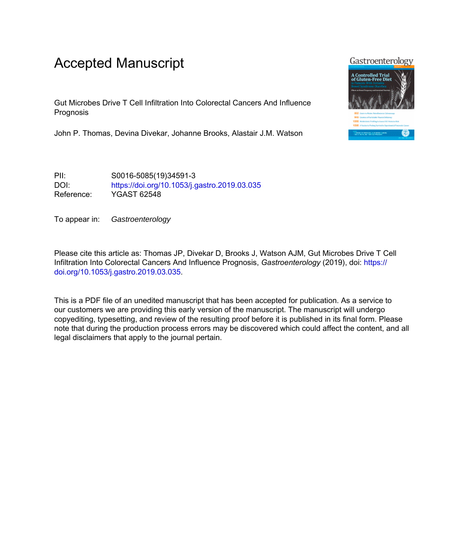# Accepted Manuscript

Gut Microbes Drive T Cell Infiltration Into Colorectal Cancers And Influence Prognosis

John P. Thomas, Devina Divekar, Johanne Brooks, Alastair J.M. Watson

PII: S0016-5085(19)34591-3 DOI: <https://doi.org/10.1053/j.gastro.2019.03.035> Reference: YGAST 62548

To appear in: Gastroenterology

Please cite this article as: Thomas JP, Divekar D, Brooks J, Watson AJM, Gut Microbes Drive T Cell Infiltration Into Colorectal Cancers And Influence Prognosis, *Gastroenterology* (2019), doi: [https://](https://doi.org/10.1053/j.gastro.2019.03.035) [doi.org/10.1053/j.gastro.2019.03.035](https://doi.org/10.1053/j.gastro.2019.03.035).

This is a PDF file of an unedited manuscript that has been accepted for publication. As a service to our customers we are providing this early version of the manuscript. The manuscript will undergo copyediting, typesetting, and review of the resulting proof before it is published in its final form. Please note that during the production process errors may be discovered which could affect the content, and all legal disclaimers that apply to the journal pertain.

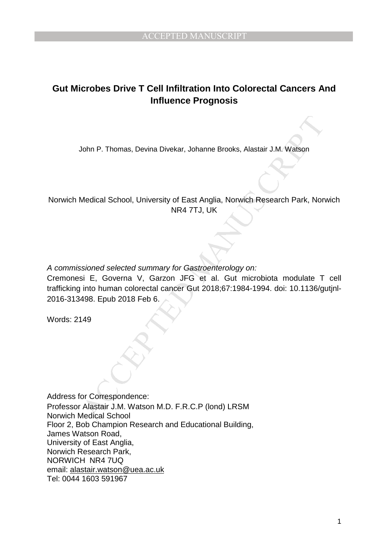## **Gut Microbes Drive T Cell Infiltration Into Colorectal Cancers And Influence Prognosis**

John P. Thomas, Devina Divekar, Johanne Brooks, Alastair J.M. Watson

Norwich Medical School, University of East Anglia, Norwich Research Park, Norwich NR4 7TJ, UK

A commissioned selected summary for Gastroenterology on:

John P. Thomas, Devina Divekar, Johanne Brooks, Alastair J.M. Watson<br>
Medical School, University of East Anglia, Norwich Research Park, Nor<br>
NR4 7TJ, UK<br>
Sis F. Governa V, Garzon JFG et al. Gut microloida modulate T<br>
into Cremonesi E, Governa V, Garzon JFG et al. Gut microbiota modulate T cell trafficking into human colorectal cancer Gut 2018;67:1984-1994. doi: 10.1136/gutjnl-2016-313498. Epub 2018 Feb 6.

Words: 2149

Address for Correspondence: Professor Alastair J.M. Watson M.D. F.R.C.P (lond) LRSM Norwich Medical School Floor 2, Bob Champion Research and Educational Building, James Watson Road, University of East Anglia, Norwich Research Park, NORWICH NR4 7UQ email: alastair.watson@uea.ac.uk Tel: 0044 1603 591967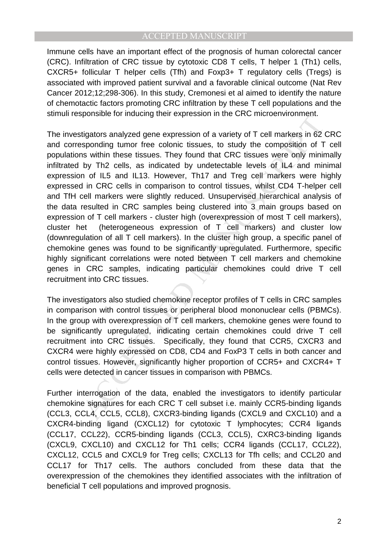Immune cells have an important effect of the prognosis of human colorectal cancer (CRC). Infiltration of CRC tissue by cytotoxic CD8 T cells, T helper 1 (Th1) cells, CXCR5+ follicular T helper cells (Tfh) and Foxp3+ T regulatory cells (Tregs) is associated with improved patient survival and a favorable clinical outcome (Nat Rev Cancer 2012;12;298-306). In this study, Cremonesi et al aimed to identify the nature of chemotactic factors promoting CRC infiltration by these T cell populations and the stimuli responsible for inducing their expression in the CRC microenvironment.

by that the colonic tissues, to studie the method memory of the systephonic standary diffustors analyzed gene expression of a variety of T cell markers in 62 is systepholing turn of the conton issues. To study the composit The investigators analyzed gene expression of a variety of T cell markers in 62 CRC and corresponding tumor free colonic tissues, to study the composition of T cell populations within these tissues. They found that CRC tissues were only minimally infiltrated by Th2 cells, as indicated by undetectable levels of IL4 and minimal expression of IL5 and IL13. However, Th17 and Treg cell markers were highly expressed in CRC cells in comparison to control tissues, whilst CD4 T-helper cell and TfH cell markers were slightly reduced. Unsupervised hierarchical analysis of the data resulted in CRC samples being clustered into 3 main groups based on expression of T cell markers - cluster high (overexpression of most T cell markers), cluster het (heterogeneous expression of T cell markers) and cluster low (downregulation of all T cell markers). In the cluster high group, a specific panel of chemokine genes was found to be significantly upregulated. Furthermore, specific highly significant correlations were noted between T cell markers and chemokine genes in CRC samples, indicating particular chemokines could drive T cell recruitment into CRC tissues.

The investigators also studied chemokine receptor profiles of T cells in CRC samples in comparison with control tissues or peripheral blood mononuclear cells (PBMCs). In the group with overexpression of  $\bar{T}$  cell markers, chemokine genes were found to be significantly upregulated, indicating certain chemokines could drive T cell recruitment into CRC tissues. Specifically, they found that CCR5, CXCR3 and CXCR4 were highly expressed on CD8, CD4 and FoxP3 T cells in both cancer and control tissues. However, significantly higher proportion of CCR5+ and CXCR4+ T cells were detected in cancer tissues in comparison with PBMCs.

Further interrogation of the data, enabled the investigators to identify particular chemokine signatures for each CRC T cell subset i.e. mainly CCR5-binding ligands (CCL3, CCL4, CCL5, CCL8), CXCR3-binding ligands (CXCL9 and CXCL10) and a CXCR4-binding ligand (CXCL12) for cytotoxic T lymphocytes; CCR4 ligands (CCL17, CCL22), CCR5-binding ligands (CCL3, CCL5), CXRC3-binding ligands (CXCL9, CXCL10) and CXCL12 for Th1 cells; CCR4 ligands (CCL17, CCL22), CXCL12, CCL5 and CXCL9 for Treg cells; CXCL13 for Tfh cells; and CCL20 and CCL17 for Th17 cells. The authors concluded from these data that the overexpression of the chemokines they identified associates with the infiltration of beneficial T cell populations and improved prognosis.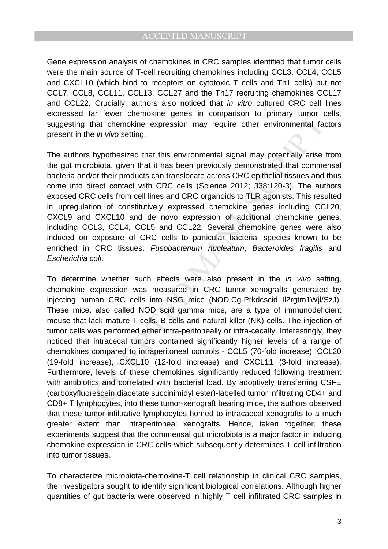Gene expression analysis of chemokines in CRC samples identified that tumor cells were the main source of T-cell recruiting chemokines including CCL3, CCL4, CCL5 and CXCL10 (which bind to receptors on cytotoxic T cells and Th1 cells) but not CCL7, CCL8, CCL11, CCL13, CCL27 and the Th17 recruiting chemokines CCL17 and CCL22. Crucially, authors also noticed that in vitro cultured CRC cell lines expressed far fewer chemokine genes in comparison to primary tumor cells, suggesting that chemokine expression may require other environmental factors present in the in vivo setting.

The authors hypothesized that this environmental signal may potentially arise from the gut microbiota, given that it has been previously demonstrated that commensal bacteria and/or their products can translocate across CRC epithelial tissues and thus come into direct contact with CRC cells (Science 2012; 338:120-3). The authors exposed CRC cells from cell lines and CRC organoids to TLR agonists. This resulted in upregulation of constitutively expressed chemokine genes including CCL20, CXCL9 and CXCL10 and de novo expression of additional chemokine genes, including CCL3, CCL4, CCL5 and CCL22. Several chemokine genes were also induced on exposure of CRC cells to particular bacterial species known to be enriched in CRC tissues; Fusobacterium nucleatum, Bacteroides fragilis and Escherichia coli.

The interventive gives in comparison to phinary during the anti-<br>and the invivo setting,<br>the invivo setting,<br>the invivo setting,<br>the invivo setting,<br>and the invivo setting,<br>and the invivo setting,<br>and the invivo setting,<br> To determine whether such effects were also present in the in vivo setting, chemokine expression was measured in CRC tumor xenografts generated by injecting human CRC cells into NSG mice (NOD.Cg-Prkdcscid Il2rgtm1Wjl/SzJ). These mice, also called NOD scid gamma mice, are a type of immunodeficient mouse that lack mature T cells, B cells and natural killer (NK) cells. The injection of tumor cells was performed either intra-peritoneally or intra-cecally. Interestingly, they noticed that intracecal tumors contained significantly higher levels of a range of chemokines compared to intraperitoneal controls - CCL5 (70-fold increase), CCL20 (19-fold increase), CXCL10 (12-fold increase) and CXCL11 (3-fold increase). Furthermore, levels of these chemokines significantly reduced following treatment with antibiotics and correlated with bacterial load. By adoptively transferring CSFE (carboxyfluorescein diacetate succinimidyl ester)-labelled tumor infiltrating CD4+ and CD8+ T lymphocytes, into these tumor-xenograft bearing mice, the authors observed that these tumor-infiltrative lymphocytes homed to intracaecal xenografts to a much greater extent than intraperitoneal xenografts. Hence, taken together, these experiments suggest that the commensal gut microbiota is a major factor in inducing chemokine expression in CRC cells which subsequently determines T cell infiltration into tumor tissues.

To characterize microbiota-chemokine-T cell relationship in clinical CRC samples, the investigators sought to identify significant biological correlations. Although higher quantities of gut bacteria were observed in highly T cell infiltrated CRC samples in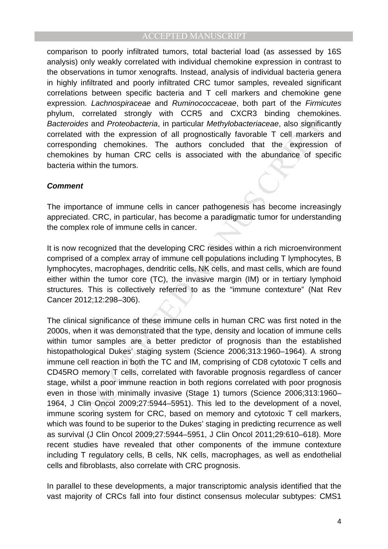comparison to poorly infiltrated tumors, total bacterial load (as assessed by 16S analysis) only weakly correlated with individual chemokine expression in contrast to the observations in tumor xenografts. Instead, analysis of individual bacteria genera in highly infiltrated and poorly infiltrated CRC tumor samples, revealed significant correlations between specific bacteria and T cell markers and chemokine gene expression. Lachnospiraceae and Ruminococcaceae, both part of the Firmicutes phylum, correlated strongly with CCR5 and CXCR3 binding chemokines. Bacteroides and Proteobacteria, in particular Methylobacteriaceae, also significantly correlated with the expression of all prognostically favorable T cell markers and corresponding chemokines. The authors concluded that the expression of chemokines by human CRC cells is associated with the abundance of specific bacteria within the tumors.

#### **Comment**

The importance of immune cells in cancer pathogenesis has become increasingly appreciated. CRC, in particular, has become a paradigmatic tumor for understanding the complex role of immune cells in cancer.

It is now recognized that the developing CRC resides within a rich microenvironment comprised of a complex array of immune cell populations including T lymphocytes, B lymphocytes, macrophages, dendritic cells, NK cells, and mast cells, which are found either within the tumor core (TC), the invasive margin (IM) or in tertiary lymphoid structures. This is collectively referred to as the "immune contexture" (Nat Rev Cancer 2012;12:298–306).

constants are allowing with cortists and occurred that concerned and proteobacteria, in particular Methylobacteriaceae, also significity with the expression of all prognostically favorable T cell markers es by human GRC ce The clinical significance of these immune cells in human CRC was first noted in the 2000s, when it was demonstrated that the type, density and location of immune cells within tumor samples are a better predictor of prognosis than the established histopathological Dukes' staging system (Science 2006;313:1960–1964). A strong immune cell reaction in both the TC and IM, comprising of CD8 cytotoxic T cells and CD45RO memory T cells, correlated with favorable prognosis regardless of cancer stage, whilst a poor immune reaction in both regions correlated with poor prognosis even in those with minimally invasive (Stage 1) tumors (Science 2006;313:1960– 1964, J Clin Oncol 2009;27:5944–5951). This led to the development of a novel, immune scoring system for CRC, based on memory and cytotoxic T cell markers, which was found to be superior to the Dukes' staging in predicting recurrence as well as survival (J Clin Oncol 2009;27:5944–5951, J Clin Oncol 2011;29:610–618). More recent studies have revealed that other components of the immune contexture including T regulatory cells, B cells, NK cells, macrophages, as well as endothelial cells and fibroblasts, also correlate with CRC prognosis.

In parallel to these developments, a major transcriptomic analysis identified that the vast majority of CRCs fall into four distinct consensus molecular subtypes: CMS1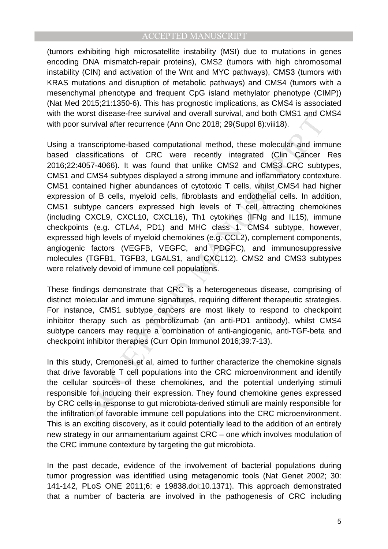(tumors exhibiting high microsatellite instability (MSI) due to mutations in genes encoding DNA mismatch-repair proteins), CMS2 (tumors with high chromosomal instability (CIN) and activation of the Wnt and MYC pathways), CMS3 (tumors with KRAS mutations and disruption of metabolic pathways) and CMS4 (tumors with a mesenchymal phenotype and frequent CpG island methylator phenotype (CIMP)) (Nat Med 2015;21:1350-6). This has prognostic implications, as CMS4 is associated with the worst disease-free survival and overall survival, and both CMS1 and CMS4 with poor survival after recurrence (Ann Onc 2018; 29(Suppl 8):viii18).

Most assessmes survival after recurrence (Ann Onc 2018; 29(Suppl 8): will but town and constrained and more computational method, these molecular and imassifications of CRC were recently integrated (Clin Cancer 1057-4066). Using a transcriptome-based computational method, these molecular and immune based classifications of CRC were recently integrated (Clin Cancer Res 2016;22:4057-4066). It was found that unlike CMS2 and CMS3 CRC subtypes, CMS1 and CMS4 subtypes displayed a strong immune and inflammatory contexture. CMS1 contained higher abundances of cytotoxic T cells, whilst CMS4 had higher expression of B cells, myeloid cells, fibroblasts and endothelial cells. In addition, CMS1 subtype cancers expressed high levels of T cell attracting chemokines (including CXCL9, CXCL10, CXCL16), Th1 cytokines (IFNg and IL15), immune checkpoints (e.g. CTLA4, PD1) and MHC class 1. CMS4 subtype, however, expressed high levels of myeloid chemokines (e.g. CCL2), complement components, angiogenic factors (VEGFB, VEGFC, and PDGFC), and immunosuppressive molecules (TGFB1, TGFB3, LGALS1, and CXCL12). CMS2 and CMS3 subtypes were relatively devoid of immune cell populations.

These findings demonstrate that CRC is a heterogeneous disease, comprising of distinct molecular and immune signatures, requiring different therapeutic strategies. For instance, CMS1 subtype cancers are most likely to respond to checkpoint inhibitor therapy such as pembrolizumab (an anti-PD1 antibody), whilst CMS4 subtype cancers may require a combination of anti-angiogenic, anti-TGF-beta and checkpoint inhibitor therapies (Curr Opin Immunol 2016;39:7-13).

In this study, Cremonesi et al, aimed to further characterize the chemokine signals that drive favorable T cell populations into the CRC microenvironment and identify the cellular sources of these chemokines, and the potential underlying stimuli responsible for inducing their expression. They found chemokine genes expressed by CRC cells in response to gut microbiota-derived stimuli are mainly responsible for the infiltration of favorable immune cell populations into the CRC microenvironment. This is an exciting discovery, as it could potentially lead to the addition of an entirely new strategy in our armamentarium against CRC – one which involves modulation of the CRC immune contexture by targeting the gut microbiota.

In the past decade, evidence of the involvement of bacterial populations during tumor progression was identified using metagenomic tools (Nat Genet 2002; 30: 141-142, PLoS ONE 2011;6: e 19838.doi:10.1371). This approach demonstrated that a number of bacteria are involved in the pathogenesis of CRC including